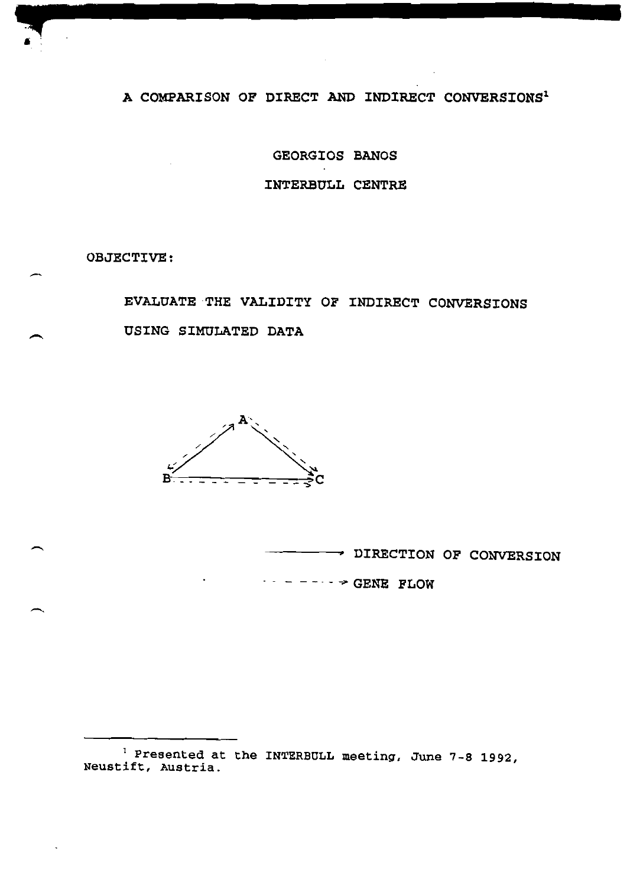A COMPARISON OF DIRECT AND INDIRECT CONVERSIONS<sup>1</sup>

GEORGIOS BANOS INTERBULL CENTRE

OBJECTIVE:

EVALUATE THE VALIDITY OF INDIRECT CONVERSIONS USING SIMULATED DATA



DIRECTION OF CONVERSION  $\cdots$  - -- $\cdots$  > GENE FLOW

<sup>&</sup>lt;sup>1</sup> Presented at the INTERBULL meeting, June 7-8 1992, Neustift, Austria.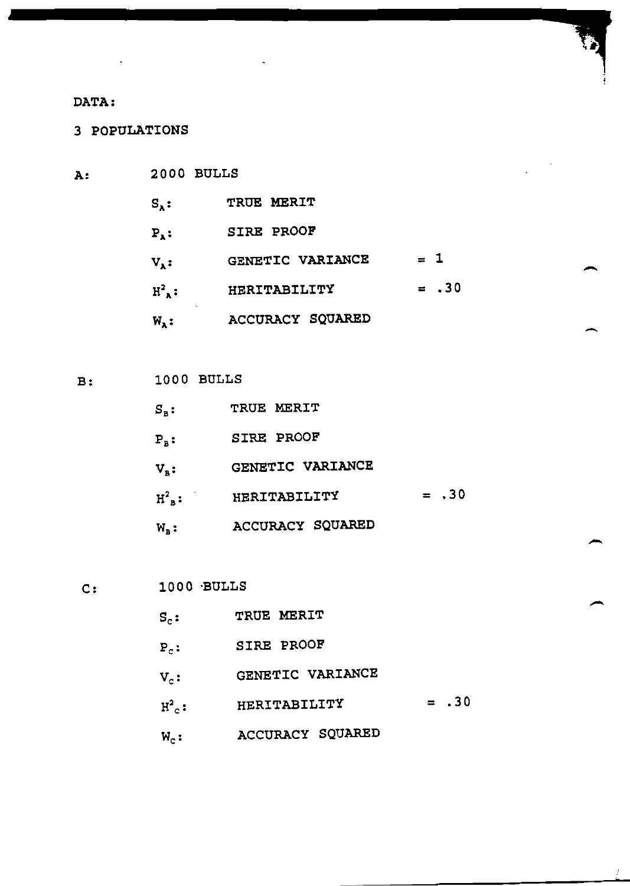## DATA:

 $A:$ 

3 POPULATIONS

- $2000$  BULLS  $S_{\lambda}$ : TRUE MERIT  $P_{\lambda}$ : SIRE PROOF  $V_A$ : GENETIC VARIANCE = 1  $H^2$ <sub>x</sub>: HERITABILITY = .30 **ACCURACY SQUARED**  $W_{\lambda}$ :
- **B:** 1000 BULLS

| $\mathtt{S}_\mathtt{b}$ :   | TRUE MERIT       |         |
|-----------------------------|------------------|---------|
| $P_{\tt R}$ :               | SIRE PROOF       |         |
| $\mathbf{V}_{\mathbf{a}}$ : | GENETIC VARIANCE |         |
| $H_{\mathbf{a}}^2$ :        | HERITABILITY     | $= .30$ |
| $W_{R}$ :                   | ACCURACY SQUARED |         |

- $1000$  BULLS  $C:$ 
	- $S_c$ : TRUE MERIT
	- $P_c$ : SIRE PROOF
	- $V_c$ : GENETIC VARIANCE
	- $H^2_{c}$ : HERITABILITY = .30
	- $W_c$ : ACCURACY SQUARED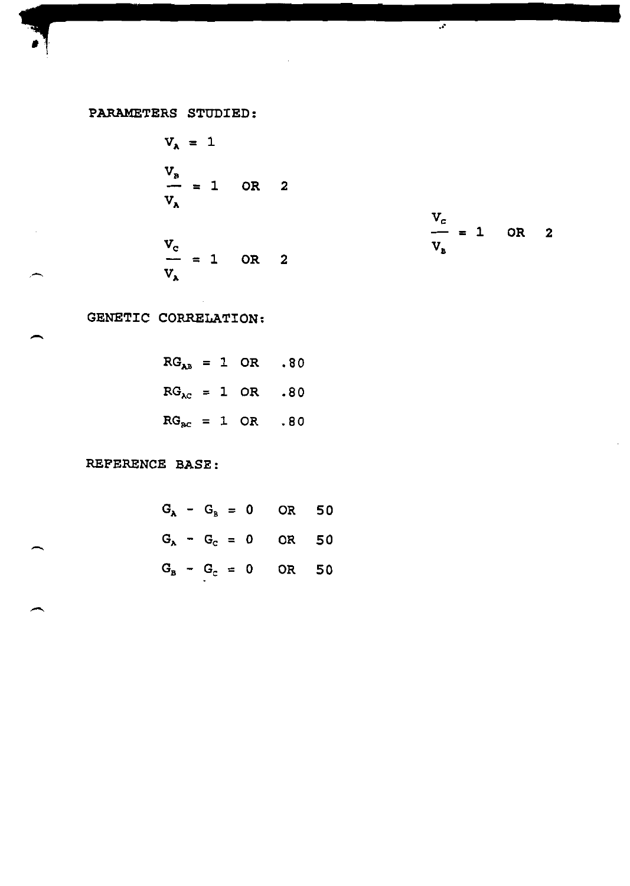## PARAMETERS STUDIED:

$$
V_{\lambda} = 1
$$
  
\n
$$
\frac{V_{B}}{V_{\lambda}} = 1
$$
 OR 2  
\n
$$
\frac{V_{C}}{V_{\lambda}} = 1
$$
 OR 2

$$
\frac{V_c}{V_B} = 1 \quad \text{OR} \quad 2
$$

 $\overline{\cdot}$ 

GENETIC CORRELATION:

$$
RGAB = 1 OR .80
$$
  

$$
RGAC = 1 OR .80
$$
  

$$
RGBC = 1 OR .80
$$

REFERENCE BASE:

$$
G_{\lambda} - G_{\beta} = 0
$$
 OR 50  
 $G_{\lambda} - G_{c} = 0$  OR 50  
 $G_{\beta} - G_{c} = 0$  OR 50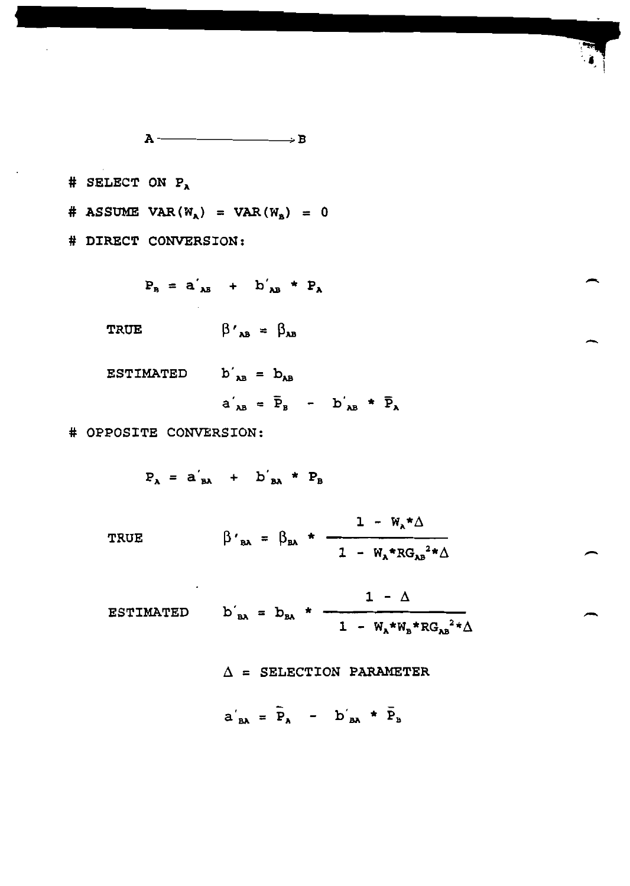$\mathbf{A} \longrightarrow \mathbf{B}$ 

# SELECT ON  $P_A$ 

# ASSUME VAR( $W_{\lambda}$ ) = VAR( $W_{\mu}$ ) = 0

# DIRECT CONVERSION:

 $P_B = a'_{AB} + b'_{AB} * P_A$ 

 $\beta'_{AB} = \beta_{AB}$ **TRUE** 

ESTIMATED  $b'_{AB} = b_{AB}$ 

$$
a'_{AB} = \bar{P}_B - b'_{AB} \star \bar{P}_A
$$

# OPPOSITE CONVERSION:

 $P_A = a'_{BA} + b'_{BA} * P_B$ 

TRUE 
$$
\beta'_{BA} = \beta_{BA} \star \frac{1 - W_A * Δ}{1 - W_A * RG_{AB}^2 * Δ}
$$

ESTIMATED 
$$
b'_{BA} = b_{BA} * \frac{1 - \Delta}{1 - W_A * W_B * RG_{AB}^2 * \Delta}
$$

 $\Delta$  = SELECTION PARAMETER

 $a'_{BA} = \overline{P}_A - b'_{BA} * \overline{P}_B$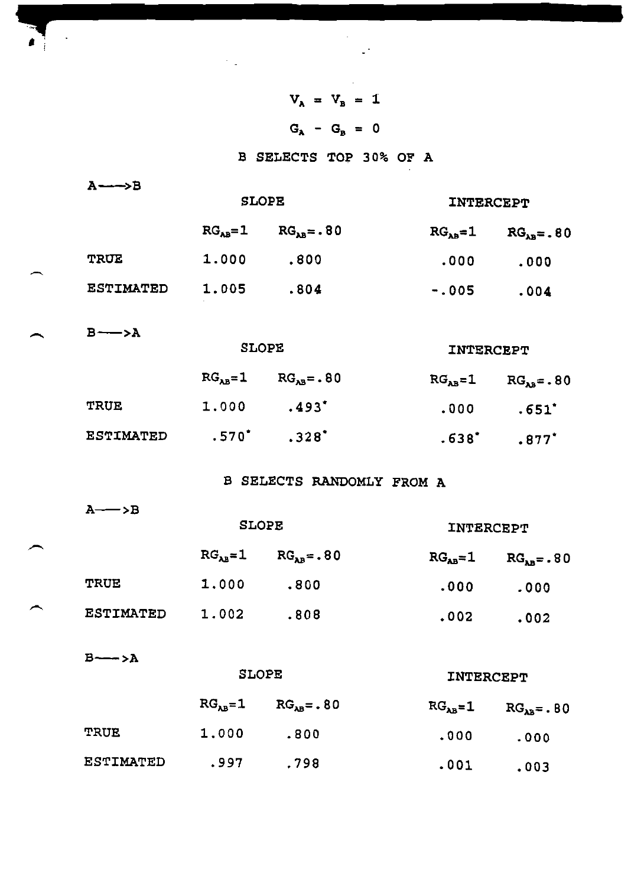$A \longrightarrow B$ TRUE ESTIMATED  $B \longrightarrow A$ TRUE ESTIMATED SLOPE  $RG<sub>AB</sub>=1$   $RG<sub>AB</sub>=. 80$ 1. 000 .800 1. 005 .804 SLOPE  $RG<sub>AB</sub>=1$   $RG<sub>AB</sub>=.80$  $1.000$   $.493$ <sup>\*</sup> .570' .328'  $V_A = V_B = 1$  $G_{A} - G_{B} = 0$ B SELECTS TOP 30% OF A INTERCEPT  $RG<sub>AB</sub>=1$   $RG<sub>AB</sub>=. 80$ .000 .000 -.00s .004 INTERCEPT  $RG<sub>AB</sub>=1$   $RG<sub>AB</sub>=. 80$  $.000$  .651<sup>\*</sup> .538' .877'

B SELECTS RANDOMLY FROM A

 $A \rightarrow B$ 

|                  |               | <b>SLOPE</b> | INTERCEPT |            |  |
|------------------|---------------|--------------|-----------|------------|--|
|                  | $RG_{AB} = 1$ | $RGAB=.80$   | $RGan=1$  | $RGAB=.80$ |  |
| <b>TRUE</b>      | 1.000         | .800         | .000      | .000       |  |
| <b>ESTIMATED</b> | 1.002         | .808         | .002      | .002       |  |

 $B \rightarrow A$ 

SLOPE

SLOPE

INTERCEPT

|           |       | $RGAB=1$ $RGAB=.80$ | $RGAB=1$ | $RGAB = . 80$ |
|-----------|-------|---------------------|----------|---------------|
| TRUE      | 1,000 | .800                | .000     | .000          |
| ESTIMATED | .997  | .798                | .001     | .003          |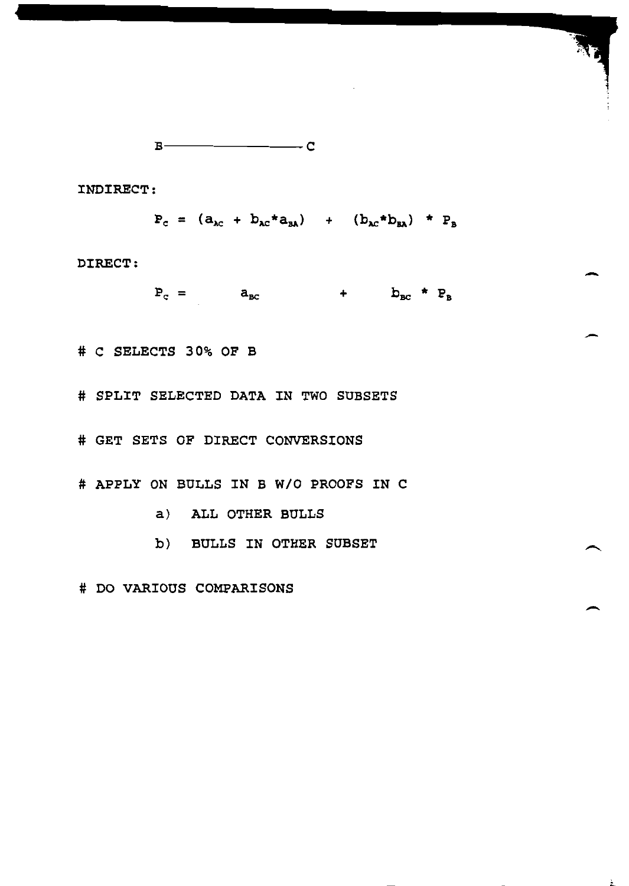$$
B \xrightarrow{\hspace{5mm}} C
$$

INDIRECT:

 $P_c = (a_{ac} + b_{ac} * a_{ba}) + (b_{ac} * b_{ba}) * P_b$ 

DIRECT:

 $P_c = a_{bc}$  $+$   $b_{BC}$  \*  $P_B$ 

# C SELECTS 30% OF B

# SPLIT SELECTED DATA IN TWO SUBSETS

# GET SETS OF DIRECT CONVERSIONS

# APPLY ON BULLS IN B W/O PROOFS IN C

- a) ALL OTHER BULLS
- b) BULLS IN OTHER SUBSET

 $\ddot{ }$ 

# DO VARIOUS COMPARISONS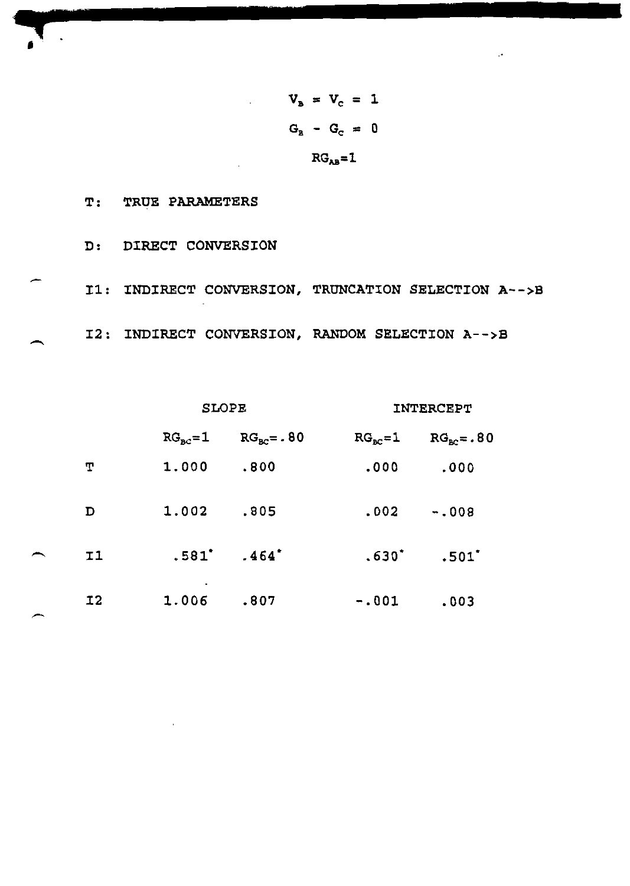$V_{B} = V_{C} = 1$  $G_B - G_C = 0$  $RG<sub>AB</sub>=1$ 

T: TRUE PARAMETERS

D: DIRECT CONVERSION I1: INDIRECT CONVERSION, TRUNCATION SELECTION A-->B I2: INDIRECT CONVERSION, RANDOM SELECTION A-->B

**SLOPE** 

INTERCEPT

|                | $RG_{\text{ac}}=1$ | $RG_{\text{BC}} = . 80$ | $RG_{BC} = 1$ | $RG_{BC} = .80$ |
|----------------|--------------------|-------------------------|---------------|-----------------|
| Т              | 1.000              | .800                    | .000          | .000            |
| D              | 1.002              | .805                    | .002          | $-.008$         |
| I <sub>1</sub> |                    | $.581'$ $.464'$         | $.630*$       | .501            |
| I <sub>2</sub> | 1.006              | .807                    | $-.001$       | .003            |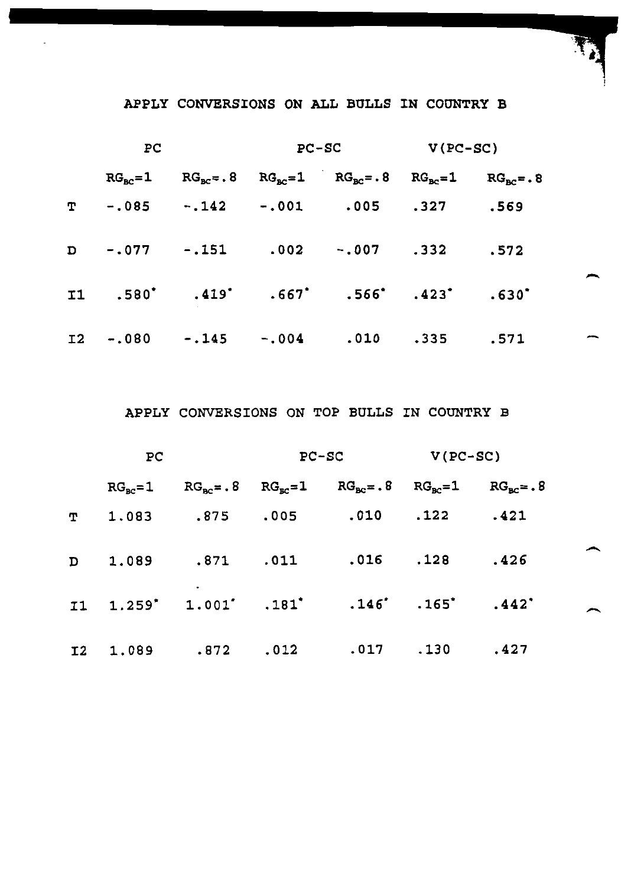## APPLY CONVERSIONS ON ALL BULLS IN COUNTRY B

| PC |                      | $PC-SC$ |  | $V(PC-SC)$                                                                 |      |      |  |
|----|----------------------|---------|--|----------------------------------------------------------------------------|------|------|--|
|    |                      |         |  | $RG_{ac}=1$ $RG_{ac}=.8$ $RG_{ac}=1$ $RG_{ac}=.8$ $RG_{ac}=1$ $RG_{ac}=.8$ |      |      |  |
| т  |                      |         |  | -.085 -.142 -.001 .005 .327                                                |      | .569 |  |
|    |                      |         |  | D -.077 -.151 .002 -.007 .332                                              |      | .572 |  |
|    |                      |         |  | $11$ .580° .419° .667° .566° .423° .630°                                   |      |      |  |
|    | I2 -.080 -.145 -.004 |         |  | .010                                                                       | .335 | .571 |  |

APPLY CONVERSIONS ON TOP BULLS IN COUNTRY B

| PC |                    | $PC-SC$       |               | $V(PC-SC)$                                                                            |      |                        |  |
|----|--------------------|---------------|---------------|---------------------------------------------------------------------------------------|------|------------------------|--|
|    | $RG_{\text{ac}}=1$ |               |               | $RG_{\text{BC}} = .8$ $RG_{\text{BC}} = 1$ $RG_{\text{BC}} = .8$ $RG_{\text{BC}} = 1$ |      | $RG_{\text{nc}} = . 8$ |  |
| T. | 1.083              | $.875$ $.005$ |               | $.010$ $.122$                                                                         |      | .421                   |  |
|    | D 1.089            |               | $.871$ $.011$ | $.016$ $.128$                                                                         |      | .426                   |  |
|    |                    |               |               | 11 1.259' 1.001' .181' .146' .165' .442'                                              |      |                        |  |
|    | I2 1.089           | .872          | .012          | .017                                                                                  | .130 | .427                   |  |